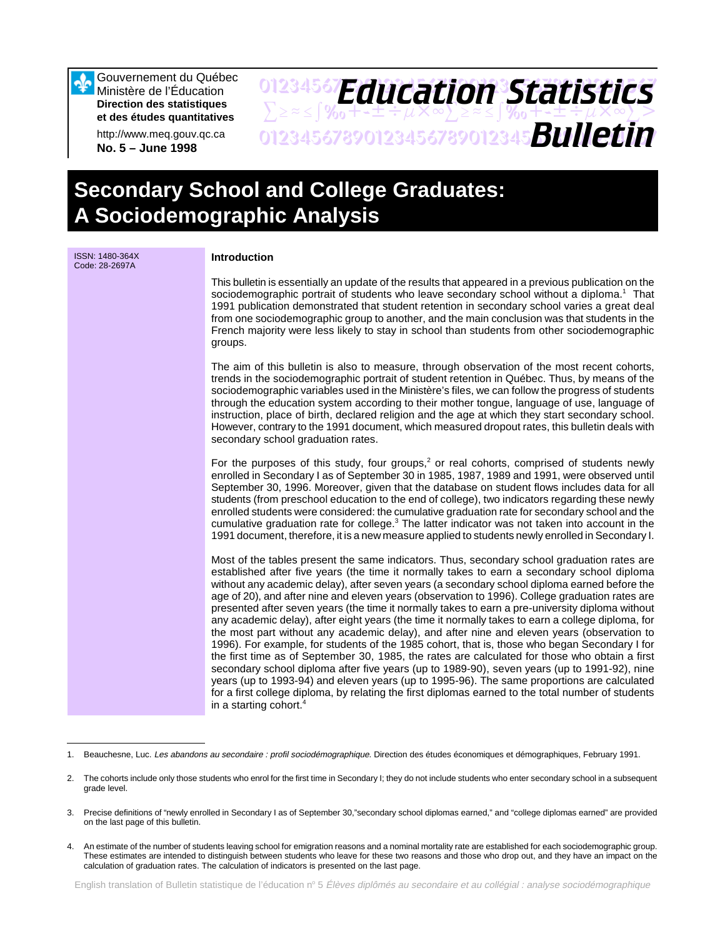Gouvernement du Québec Ministère de l'Éducation **Direction des statistiques et des études quantitatives**

∾

http://www.meq.gouv.qc.ca **No. 5 – June 1998**

## 01234567**F***Anri Stion Statictice*  $\sum z \approx \int \mathcal{X}_0 + \pm \pm \div \mu \times \infty$  $\sum z \approx \pm \int \mathcal{X}_0 + \pm \pm \div \mu \times \infty$  $\sum >$ 01234567890123456789012345678901234567 *Bulletin Education Statistics*

# **Secondary School and College Graduates: A Sociodemographic Analysis**

| ISSN: 1480-364X<br>Code: 28-2697A | <b>Introduction</b>                                                                                                                                                                                                                                                                                                                                                                                                                                                                                                                                                                                                                                                                                                                                                                                                                                                                                                                                                                                                                                                                                                                                                                                                                                |
|-----------------------------------|----------------------------------------------------------------------------------------------------------------------------------------------------------------------------------------------------------------------------------------------------------------------------------------------------------------------------------------------------------------------------------------------------------------------------------------------------------------------------------------------------------------------------------------------------------------------------------------------------------------------------------------------------------------------------------------------------------------------------------------------------------------------------------------------------------------------------------------------------------------------------------------------------------------------------------------------------------------------------------------------------------------------------------------------------------------------------------------------------------------------------------------------------------------------------------------------------------------------------------------------------|
|                                   | This bulletin is essentially an update of the results that appeared in a previous publication on the<br>sociodemographic portrait of students who leave secondary school without a diploma. <sup>1</sup> That<br>1991 publication demonstrated that student retention in secondary school varies a great deal<br>from one sociodemographic group to another, and the main conclusion was that students in the<br>French majority were less likely to stay in school than students from other sociodemographic<br>groups.                                                                                                                                                                                                                                                                                                                                                                                                                                                                                                                                                                                                                                                                                                                           |
|                                   | The aim of this bulletin is also to measure, through observation of the most recent cohorts,<br>trends in the sociodemographic portrait of student retention in Québec. Thus, by means of the<br>sociodemographic variables used in the Ministère's files, we can follow the progress of students<br>through the education system according to their mother tongue, language of use, language of<br>instruction, place of birth, declared religion and the age at which they start secondary school.<br>However, contrary to the 1991 document, which measured dropout rates, this bulletin deals with<br>secondary school graduation rates.                                                                                                                                                                                                                                                                                                                                                                                                                                                                                                                                                                                                       |
|                                   | For the purposes of this study, four groups, $2$ or real cohorts, comprised of students newly<br>enrolled in Secondary I as of September 30 in 1985, 1987, 1989 and 1991, were observed until<br>September 30, 1996. Moreover, given that the database on student flows includes data for all<br>students (from preschool education to the end of college), two indicators regarding these newly<br>enrolled students were considered: the cumulative graduation rate for secondary school and the<br>cumulative graduation rate for college. <sup>3</sup> The latter indicator was not taken into account in the<br>1991 document, therefore, it is a new measure applied to students newly enrolled in Secondary I.                                                                                                                                                                                                                                                                                                                                                                                                                                                                                                                              |
|                                   | Most of the tables present the same indicators. Thus, secondary school graduation rates are<br>established after five years (the time it normally takes to earn a secondary school diploma<br>without any academic delay), after seven years (a secondary school diploma earned before the<br>age of 20), and after nine and eleven years (observation to 1996). College graduation rates are<br>presented after seven years (the time it normally takes to earn a pre-university diploma without<br>any academic delay), after eight years (the time it normally takes to earn a college diploma, for<br>the most part without any academic delay), and after nine and eleven years (observation to<br>1996). For example, for students of the 1985 cohort, that is, those who began Secondary I for<br>the first time as of September 30, 1985, the rates are calculated for those who obtain a first<br>secondary school diploma after five years (up to 1989-90), seven years (up to 1991-92), nine<br>years (up to 1993-94) and eleven years (up to 1995-96). The same proportions are calculated<br>for a first college diploma, by relating the first diplomas earned to the total number of students<br>in a starting cohort. <sup>4</sup> |

<sup>1.</sup> Beauchesne, Luc. Les abandons au secondaire : profil sociodémographique. Direction des études économiques et démographiques, February 1991.

<sup>2.</sup> The cohorts include only those students who enrol for the first time in Secondary I; they do not include students who enter secondary school in a subsequent grade level.

<sup>3.</sup> Precise definitions of "newly enrolled in Secondary I as of September 30,"secondary school diplomas earned," and "college diplomas earned" are provided on the last page of this bulletin.

<sup>4.</sup> An estimate of the number of students leaving school for emigration reasons and a nominal mortality rate are established for each sociodemographic group. These estimates are intended to distinguish between students who leave for these two reasons and those who drop out, and they have an impact on the calculation of graduation rates. The calculation of indicators is presented on the last page.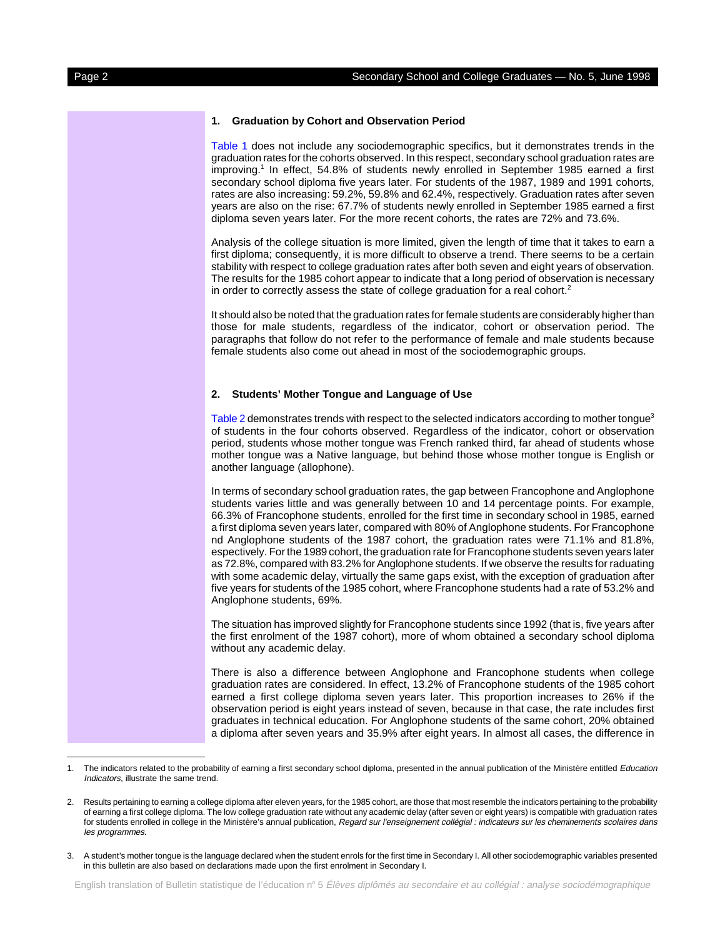#### **1. Graduation by Cohort and Observation Period**

[Table 1 d](#page-6-0)oes not include any sociodemographic specifics, but it demonstrates trends in the graduation rates for the cohorts observed. In this respect, secondary school graduation rates are improving. 1 In effect, 54.8% of students newly enrolled in September 1985 earned a first secondary school diploma five years later. For students of the 1987, 1989 and 1991 cohorts, rates are also increasing: 59.2%, 59.8% and 62.4%, respectively. Graduation rates after seven years are also on the rise: 67.7% of students newly enrolled in September 1985 earned a first diploma seven years later. For the more recent cohorts, the rates are 72% and 73.6%.

Analysis of the college situation is more limited, given the length of time that it takes to earn a first diploma; consequently, it is more difficult to observe a trend. There seems to be a certain stability with respect to college graduation rates after both seven and eight years of observation. The results for the 1985 cohort appear to indicate that a long period of observation is necessary in order to correctly assess the state of college graduation for a real cohort.<sup>2</sup>

It should also be noted that the graduation rates for female students are considerably higher than those for male students, regardless of the indicator, cohort or observation period. The paragraphs that follow do not refer to the performance of female and male students because female students also come out ahead in most of the sociodemographic groups.

#### **2. Students' Mother Tongue and Language of Use**

[Table 2 d](#page-7-0)emonstrates trends with respect to the selected indicators according to mother tongue<sup>3</sup> of students in the four cohorts observed. Regardless of the indicator, cohort or observation period, students whose mother tongue was French ranked third, far ahead of students whose mother tongue was a Native language, but behind those whose mother tongue is English or another language (allophone).

In terms of secondary school graduation rates, the gap between Francophone and Anglophone students varies little and was generally between 10 and 14 percentage points. For example, 66.3% of Francophone students, enrolled for the first time in secondary school in 1985, earned a first diploma seven years later, compared with 80% of Anglophone students. For Francophone nd Anglophone students of the 1987 cohort, the graduation rates were 71.1% and 81.8%, espectively. For the 1989 cohort, the graduation rate for Francophone students seven years later as 72.8%, compared with 83.2% for Anglophone students. If we observe the results for raduating with some academic delay, virtually the same gaps exist, with the exception of graduation after five years for students of the 1985 cohort, where Francophone students had a rate of 53.2% and Anglophone students, 69%.

The situation has improved slightly for Francophone students since 1992 (that is, five years after the first enrolment of the 1987 cohort), more of whom obtained a secondary school diploma without any academic delay.

There is also a difference between Anglophone and Francophone students when college graduation rates are considered. In effect, 13.2% of Francophone students of the 1985 cohort earned a first college diploma seven years later. This proportion increases to 26% if the observation period is eight years instead of seven, because in that case, the rate includes first graduates in technical education. For Anglophone students of the same cohort, 20% obtained a diploma after seven years and 35.9% after eight years. In almost all cases, the difference in

English translation of Bulletin statistique de l'éducation n° 5 Élèves diplômés au secondaire et au collégial : analyse sociodémographique

<sup>1.</sup> The indicators related to the probability of earning a first secondary school diploma, presented in the annual publication of the Ministère entitled Education Indicators, illustrate the same trend.

<sup>2.</sup> Results pertaining to earning a college diploma after eleven years, for the 1985 cohort, are those that most resemble the indicators pertaining to the probability of earning a first college diploma. The low college graduation rate without any academic delay (after seven or eight years) is compatible with graduation rates for students enrolled in college in the Ministère's annual publication, Regard sur l'enseignement collégial : indicateurs sur les cheminements scolaires dans les programmes.

<sup>3.</sup> A student's mother tongue is the language declared when the student enrols for the first time in Secondary I. All other sociodemographic variables presented in this bulletin are also based on declarations made upon the first enrolment in Secondary I.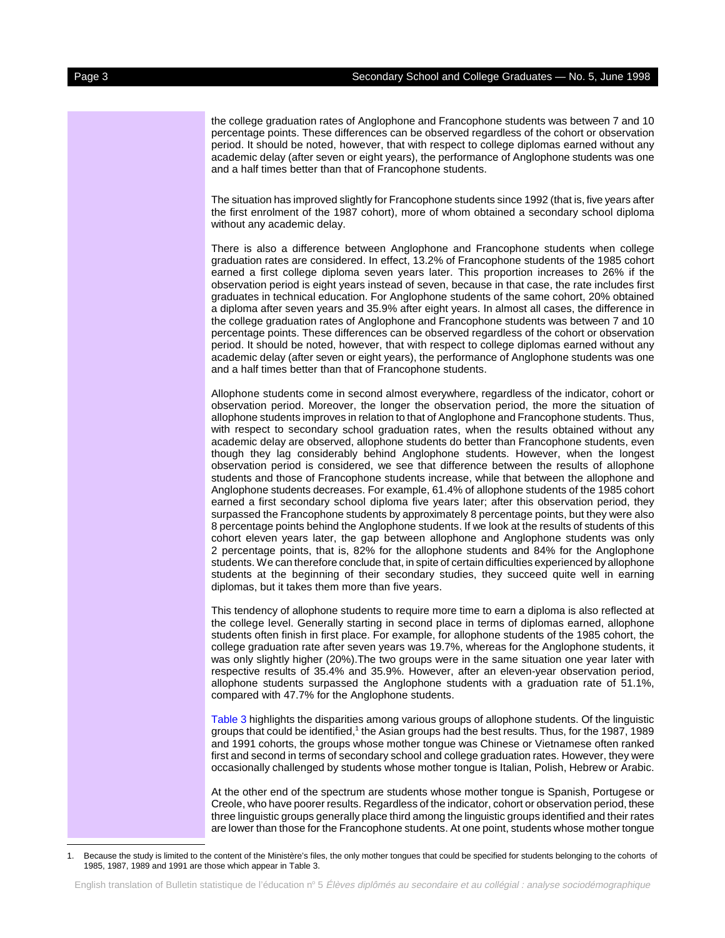the college graduation rates of Anglophone and Francophone students was between 7 and 10 percentage points. These differences can be observed regardless of the cohort or observation period. It should be noted, however, that with respect to college diplomas earned without any academic delay (after seven or eight years), the performance of Anglophone students was one and a half times better than that of Francophone students.

The situation has improved slightly for Francophone students since 1992 (that is, five years after the first enrolment of the 1987 cohort), more of whom obtained a secondary school diploma without any academic delay.

There is also a difference between Anglophone and Francophone students when college graduation rates are considered. In effect, 13.2% of Francophone students of the 1985 cohort earned a first college diploma seven years later. This proportion increases to 26% if the observation period is eight years instead of seven, because in that case, the rate includes first graduates in technical education. For Anglophone students of the same cohort, 20% obtained a diploma after seven years and 35.9% after eight years. In almost all cases, the difference in the college graduation rates of Anglophone and Francophone students was between 7 and 10 percentage points. These differences can be observed regardless of the cohort or observation period. It should be noted, however, that with respect to college diplomas earned without any academic delay (after seven or eight years), the performance of Anglophone students was one and a half times better than that of Francophone students.

Allophone students come in second almost everywhere, regardless of the indicator, cohort or observation period. Moreover, the longer the observation period, the more the situation of allophone students improves in relation to that of Anglophone and Francophone students. Thus, with respect to secondary school graduation rates, when the results obtained without any academic delay are observed, allophone students do better than Francophone students, even though they lag considerably behind Anglophone students. However, when the longest observation period is considered, we see that difference between the results of allophone students and those of Francophone students increase, while that between the allophone and Anglophone students decreases. For example, 61.4% of allophone students of the 1985 cohort earned a first secondary school diploma five years later; after this observation period, they surpassed the Francophone students by approximately 8 percentage points, but they were also 8 percentage points behind the Anglophone students. If we look at the results of students of this cohort eleven years later, the gap between allophone and Anglophone students was only 2 percentage points, that is, 82% for the allophone students and 84% for the Anglophone students. We can therefore conclude that, in spite of certain difficulties experienced by allophone students at the beginning of their secondary studies, they succeed quite well in earning diplomas, but it takes them more than five years.

This tendency of allophone students to require more time to earn a diploma is also reflected at the college level. Generally starting in second place in terms of diplomas earned, allophone students often finish in first place. For example, for allophone students of the 1985 cohort, the college graduation rate after seven years was 19.7%, whereas for the Anglophone students, it was only slightly higher (20%).The two groups were in the same situation one year later with respective results of 35.4% and 35.9%. However, after an eleven-year observation period, allophone students surpassed the Anglophone students with a graduation rate of 51.1%, compared with 47.7% for the Anglophone students.

[Table 3](#page-8-0) highlights the disparities among various groups of allophone students. Of the linguistic groups that could be identified,<sup>1</sup> the Asian groups had the best results. Thus, for the 1987, 1989 and 1991 cohorts, the groups whose mother tongue was Chinese or Vietnamese often ranked first and second in terms of secondary school and college graduation rates. However, they were occasionally challenged by students whose mother tongue is Italian, Polish, Hebrew or Arabic.

At the other end of the spectrum are students whose mother tongue is Spanish, Portugese or Creole, who have poorer results. Regardless of the indicator, cohort or observation period, these three linguistic groups generally place third among the linguistic groups identified and their rates are lower than those for the Francophone students. At one point, students whose mother tongue

<sup>1.</sup> Because the study is limited to the content of the Ministère's files, the only mother tongues that could be specified for students belonging to the cohorts of 1985, 1987, 1989 and 1991 are those which appear in Table 3.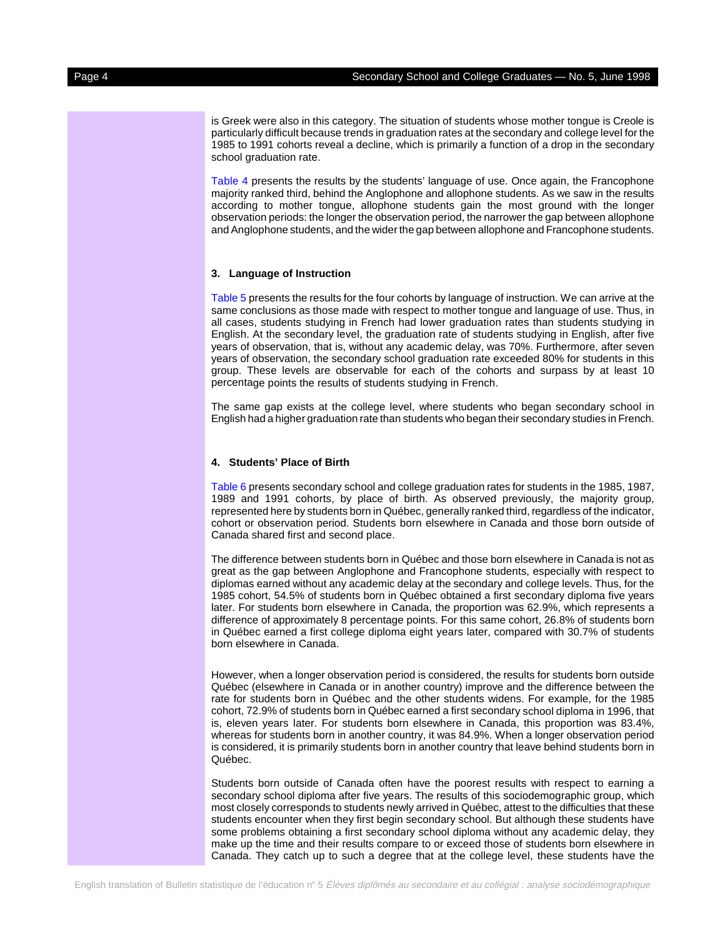is Greek were also in this category. The situation of students whose mother tongue is Creole is particularly difficult because trends in graduation rates at the secondary and college level for the 1985 to 1991 cohorts reveal a decline, which is primarily a function of a drop in the secondary school graduation rate.

[Table 4 p](#page-9-0)resents the results by the students' language of use. Once again, the Francophone majority ranked third, behind the Anglophone and allophone students. As we saw in the results according to mother tongue, allophone students gain the most ground with the longer observation periods: the longer the observation period, the narrower the gap between allophone and Anglophone students, and the wider the gap between allophone and Francophone students.

#### **3. Language of Instruction**

[Table 5](#page-10-0) presents the results for the four cohorts by language of instruction. We can arrive at the same conclusions as those made with respect to mother tongue and language of use. Thus, in all cases, students studying in French had lower graduation rates than students studying in English. At the secondary level, the graduation rate of students studying in English, after five years of observation, that is, without any academic delay, was 70%. Furthermore, after seven years of observation, the secondary school graduation rate exceeded 80% for students in this group. These levels are observable for each of the cohorts and surpass by at least 10 percentage points the results of students studying in French.

The same gap exists at the college level, where students who began secondary school in English had a higher graduation rate than students who began their secondary studies in French.

#### **4. Students' Place of Birth**

[Table 6 p](#page-11-0)resents secondary school and college graduation rates for students in the 1985, 1987, 1989 and 1991 cohorts, by place of birth. As observed previously, the majority group, represented here by students born in Québec, generally ranked third, regardless of the indicator, cohort or observation period. Students born elsewhere in Canada and those born outside of Canada shared first and second place.

The difference between students born in Québec and those born elsewhere in Canada is not as great as the gap between Anglophone and Francophone students, especially with respect to diplomas earned without any academic delay at the secondary and college levels. Thus, for the 1985 cohort, 54.5% of students born in Québec obtained a first secondary diploma five years later. For students born elsewhere in Canada, the proportion was 62.9%, which represents a difference of approximately 8 percentage points. For this same cohort, 26.8% of students born in Québec earned a first college diploma eight years later, compared with 30.7% of students born elsewhere in Canada.

However, when a longer observation period is considered, the results for students born outside Québec (elsewhere in Canada or in another country) improve and the difference between the rate for students born in Québec and the other students widens. For example, for the 1985 cohort, 72.9% of students born in Québec earned a first secondary school diploma in 1996, that is, eleven years later. For students born elsewhere in Canada, this proportion was 83.4%, whereas for students born in another country, it was 84.9%. When a longer observation period is considered, it is primarily students born in another country that leave behind students born in Québec.

Students born outside of Canada often have the poorest results with respect to earning a secondary school diploma after five years. The results of this sociodemographic group, which most closely corresponds to students newly arrived in Québec, attest to the difficulties that these students encounter when they first begin secondary school. But although these students have some problems obtaining a first secondary school diploma without any academic delay, they make up the time and their results compare to or exceed those of students born elsewhere in Canada. They catch up to such a degree that at the college level, these students have the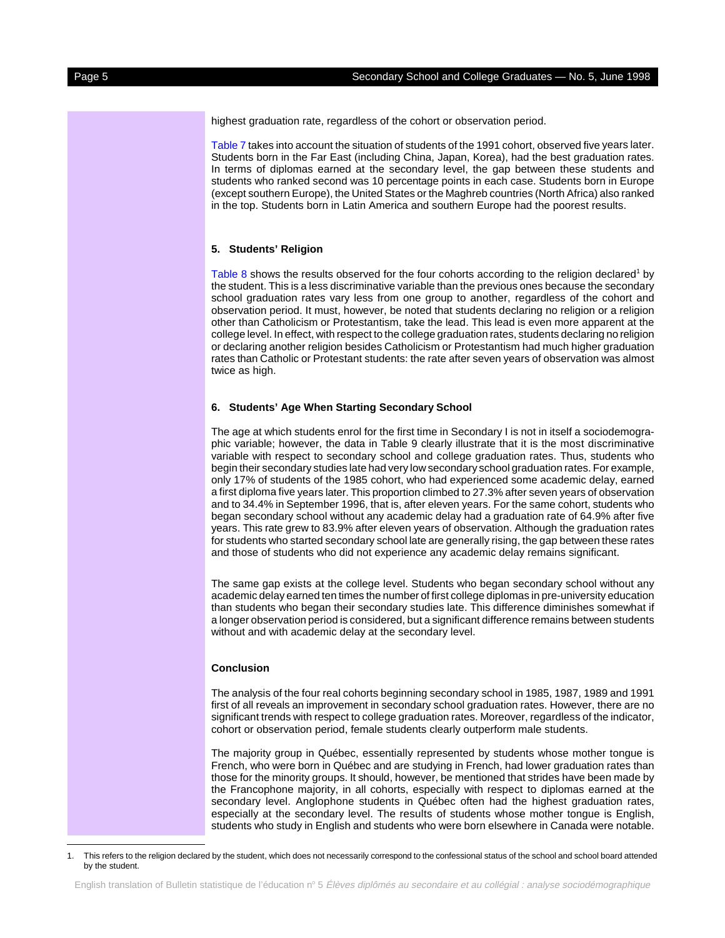highest graduation rate, regardless of the cohort or observation period.

[Table 7 t](#page-12-0)akes into account the situation of students of the 1991 cohort, observed five years later. Students born in the Far East (including China, Japan, Korea), had the best graduation rates. In terms of diplomas earned at the secondary level, the gap between these students and students who ranked second was 10 percentage points in each case. Students born in Europe (except southern Europe), the United States or the Maghreb countries (North Africa) also ranked in the top. Students born in Latin America and southern Europe had the poorest results.

#### **5. Students' Religion**

[Table 8](#page-13-0) shows the results observed for the four cohorts according to the religion declared<sup>1</sup> by the student. This is a less discriminative variable than the previous ones because the secondary school graduation rates vary less from one group to another, regardless of the cohort and observation period. It must, however, be noted that students declaring no religion or a religion other than Catholicism or Protestantism, take the lead. This lead is even more apparent at the college level. In effect, with respect to the college graduation rates, students declaring no religion or declaring another religion besides Catholicism or Protestantism had much higher graduation rates than Catholic or Protestant students: the rate after seven years of observation was almost twice as high.

#### **6. Students' Age When Starting Secondary School**

The age at which students enrol for the first time in Secondary I is not in itself a sociodemographic variable; however, the data in Table 9 clearly illustrate that it is the most discriminative variable with respect to secondary school and college graduation rates. Thus, students who begin their secondary studies late had very low secondary school graduation rates. For example, only 17% of students of the 1985 cohort, who had experienced some academic delay, earned a first diploma five years later. This proportion climbed to 27.3% after seven years of observation and to 34.4% in September 1996, that is, after eleven years. For the same cohort, students who began secondary school without any academic delay had a graduation rate of 64.9% after five years. This rate grew to 83.9% after eleven years of observation. Although the graduation rates for students who started secondary school late are generally rising, the gap between these rates and those of students who did not experience any academic delay remains significant.

The same gap exists at the college level. Students who began secondary school without any academic delay earned ten times the number of first college diplomas in pre-university education than students who began their secondary studies late. This difference diminishes somewhat if a longer observation period is considered, but a significant difference remains between students without and with academic delay at the secondary level.

#### **Conclusion**

The analysis of the four real cohorts beginning secondary school in 1985, 1987, 1989 and 1991 first of all reveals an improvement in secondary school graduation rates. However, there are no significant trends with respect to college graduation rates. Moreover, regardless of the indicator, cohort or observation period, female students clearly outperform male students.

The majority group in Québec, essentially represented by students whose mother tongue is French, who were born in Québec and are studying in French, had lower graduation rates than those for the minority groups. It should, however, be mentioned that strides have been made by the Francophone majority, in all cohorts, especially with respect to diplomas earned at the secondary level. Anglophone students in Québec often had the highest graduation rates, especially at the secondary level. The results of students whose mother tongue is English, students who study in English and students who were born elsewhere in Canada were notable.

<sup>1.</sup> This refers to the religion declared by the student, which does not necessarily correspond to the confessional status of the school and school board attended by the student.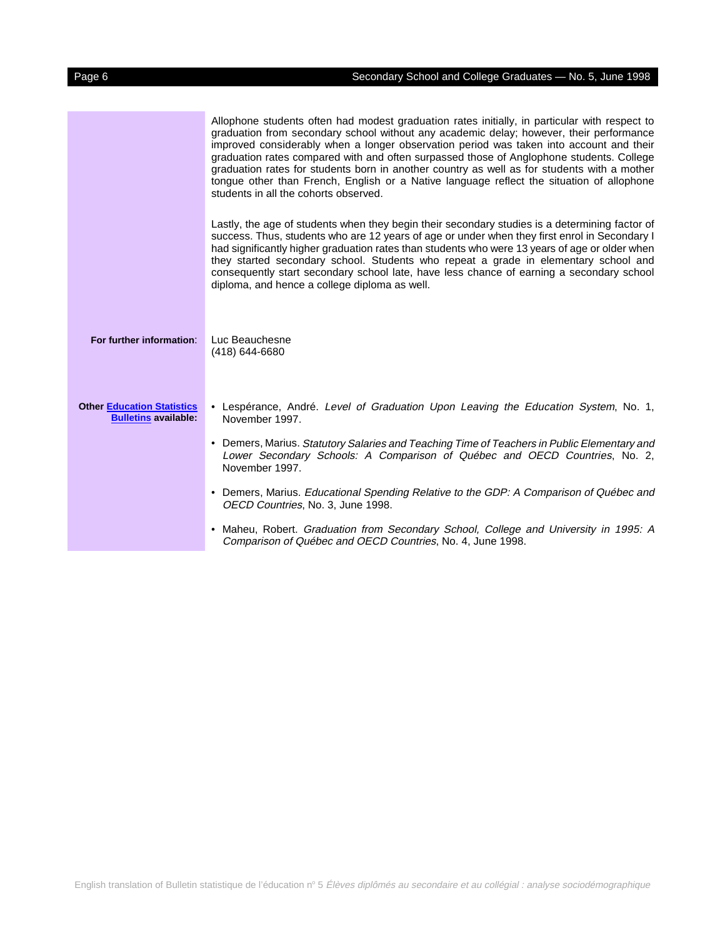| Æ<br>Эτ<br>۱ |  |
|--------------|--|
|--------------|--|

|                                                                  | Allophone students often had modest graduation rates initially, in particular with respect to<br>graduation from secondary school without any academic delay; however, their performance<br>improved considerably when a longer observation period was taken into account and their<br>graduation rates compared with and often surpassed those of Anglophone students. College<br>graduation rates for students born in another country as well as for students with a mother<br>tongue other than French, English or a Native language reflect the situation of allophone<br>students in all the cohorts observed.<br>Lastly, the age of students when they begin their secondary studies is a determining factor of<br>success. Thus, students who are 12 years of age or under when they first enrol in Secondary I<br>had significantly higher graduation rates than students who were 13 years of age or older when |
|------------------------------------------------------------------|---------------------------------------------------------------------------------------------------------------------------------------------------------------------------------------------------------------------------------------------------------------------------------------------------------------------------------------------------------------------------------------------------------------------------------------------------------------------------------------------------------------------------------------------------------------------------------------------------------------------------------------------------------------------------------------------------------------------------------------------------------------------------------------------------------------------------------------------------------------------------------------------------------------------------|
| For further information:                                         | they started secondary school. Students who repeat a grade in elementary school and<br>consequently start secondary school late, have less chance of earning a secondary school<br>diploma, and hence a college diploma as well.<br>Luc Beauchesne<br>$(418)$ 644-6680                                                                                                                                                                                                                                                                                                                                                                                                                                                                                                                                                                                                                                                    |
| <b>Other Education Statistics</b><br><b>Bulletins available:</b> | • Lespérance, André. Level of Graduation Upon Leaving the Education System, No. 1,<br>November 1997.<br>• Demers, Marius. Statutory Salaries and Teaching Time of Teachers in Public Elementary and<br>Lower Secondary Schools: A Comparison of Québec and OECD Countries, No. 2,<br>November 1997.                                                                                                                                                                                                                                                                                                                                                                                                                                                                                                                                                                                                                       |
|                                                                  | • Demers, Marius. Educational Spending Relative to the GDP: A Comparison of Québec and<br>OECD Countries, No. 3, June 1998.<br>• Maheu, Robert. Graduation from Secondary School, College and University in 1995: A<br>Comparison of Québec and OECD Countries, No. 4, June 1998.                                                                                                                                                                                                                                                                                                                                                                                                                                                                                                                                                                                                                                         |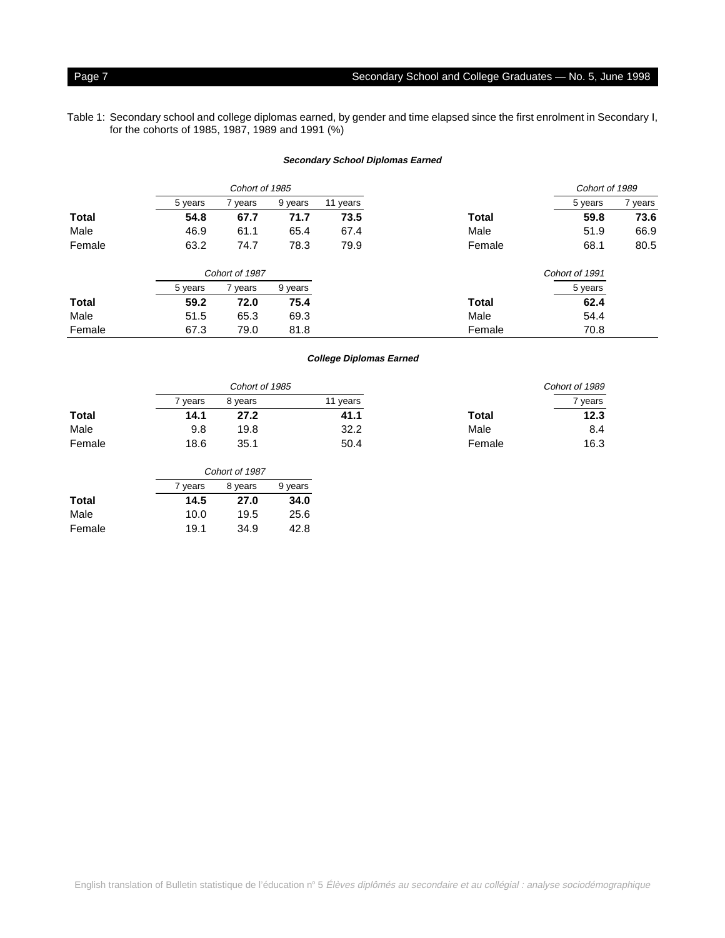#### <span id="page-6-0"></span>Page 7 Secondary School and College Graduates - No. 5, June 1998

for the cohorts of 1985, 1987, 1989 and 1991 (%)

#### **Secondary School Diplomas Earned**

|              |         | Cohort of 1985 |         |          |              | Cohort of 1989 |         |
|--------------|---------|----------------|---------|----------|--------------|----------------|---------|
|              | 5 years | 7 years        | 9 years | 11 years |              | 5 years        | 7 years |
| <b>Total</b> | 54.8    | 67.7           | 71.7    | 73.5     | Total        | 59.8           | 73.6    |
| Male         | 46.9    | 61.1           | 65.4    | 67.4     | Male         | 51.9           | 66.9    |
| Female       | 63.2    | 74.7           | 78.3    | 79.9     | Female       | 68.1           | 80.5    |
|              |         | Cohort of 1987 |         |          |              | Cohort of 1991 |         |
|              | 5 years | 7 years        | 9 years |          |              | 5 years        |         |
| <b>Total</b> | 59.2    | 72.0           | 75.4    |          | <b>Total</b> | 62.4           |         |
| Male         | 51.5    | 65.3           | 69.3    |          | Male         | 54.4           |         |

#### **College Diplomas Earned**

|              |       | Cohort of 1985 |          |        | Cohort of 1989 |
|--------------|-------|----------------|----------|--------|----------------|
|              | vears | 8 years        | 11 years |        | years          |
| <b>Total</b> | 14.1  | 27.2           | 41.1     | Total  | 12.3           |
| Male         | 9.8   | 19.8           | 32.2     | Male   | 8.4            |
| Female       | 18.6  | 35.1           | 50.4     | Female | 16.3           |

Female 67.3 79.0 81.8 Female 70.8

|        |         | Cohort of 1987 |         |  |  |  |
|--------|---------|----------------|---------|--|--|--|
|        | 7 years | 8 years        | 9 years |  |  |  |
| Total  | 14.5    | 27.0           | 34.0    |  |  |  |
| Male   | 10.0    | 19.5           | 25.6    |  |  |  |
| Female | 19.1    | 34.9           | 42.8    |  |  |  |

# Table 1: Secondary school and college diplomas earned, by gender and time elapsed since the first enrolment in Secondary I,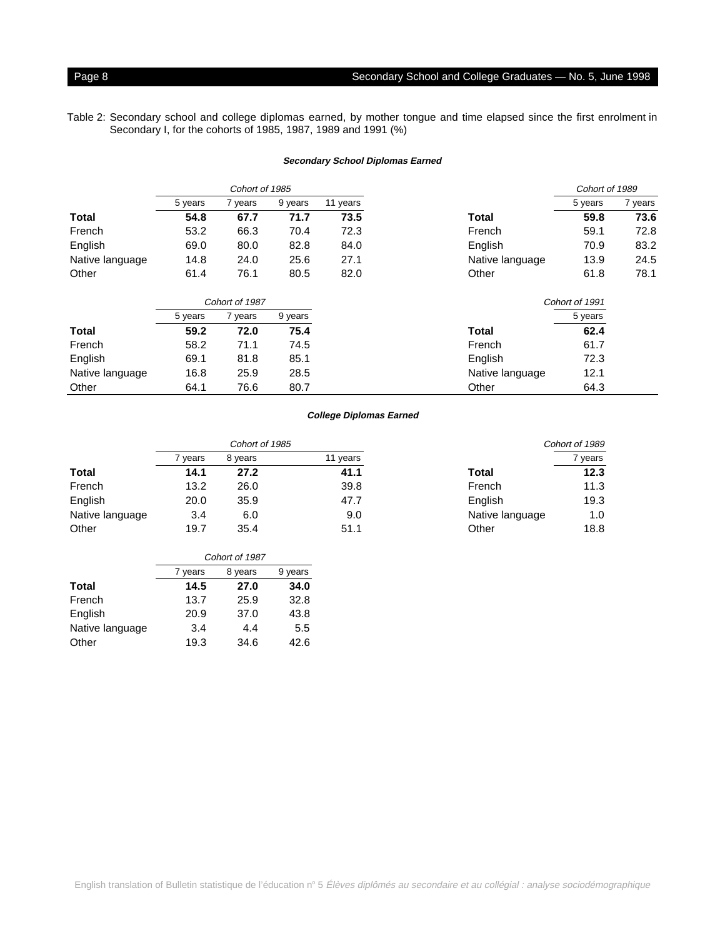#### <span id="page-7-0"></span>Page 8 Secondary School and College Graduates — No. 5, June 1998

Table 2: Secondary school and college diplomas earned, by mother tongue and time elapsed since the first enrolment in Secondary I, for the cohorts of 1985, 1987, 1989 and 1991 (%)

#### **Secondary School Diplomas Earned**

|                 | Cohort of 1985 |                |         |          |                 | Cohort of 1989 |         |
|-----------------|----------------|----------------|---------|----------|-----------------|----------------|---------|
|                 | 5 years        | 7 years        | 9 years | 11 years |                 | 5 years        | 7 years |
| <b>Total</b>    | 54.8           | 67.7           | 71.7    | 73.5     | <b>Total</b>    | 59.8           | 73.6    |
| French          | 53.2           | 66.3           | 70.4    | 72.3     | French          | 59.1           | 72.8    |
| English         | 69.0           | 80.0           | 82.8    | 84.0     | English         | 70.9           | 83.2    |
| Native language | 14.8           | 24.0           | 25.6    | 27.1     | Native language | 13.9           | 24.5    |
| Other           | 61.4           | 76.1           | 80.5    | 82.0     | Other           | 61.8           | 78.1    |
|                 |                | Cohort of 1987 |         |          |                 | Cohort of 1991 |         |
|                 | 5 years        | 7 years        | 9 years |          |                 | 5 years        |         |
| <b>Total</b>    | 59.2           | 72.0           | 75.4    |          | <b>Total</b>    | 62.4           |         |
| French          | 58.2           | 71.1           | 74.5    |          | French          | 61.7           |         |
| English         | 69.1           | 81.8           | 85.1    |          | English         | 72.3           |         |
| Native language | 16.8           | 25.9           | 28.5    |          | Native language | 12.1           |         |
| Other           | 64.1           | 76.6           | 80.7    |          | Other           | 64.3           |         |

|                 |         | Cohort of 1985 |          |                 | Cohort of 1989 |
|-----------------|---------|----------------|----------|-----------------|----------------|
|                 | 7 years | 8 years        | 11 years |                 | ' years        |
| <b>Total</b>    | 14.1    | 27.2           | 41.1     | Total           | 12.3           |
| French          | 13.2    | 26.0           | 39.8     | French          | 11.3           |
| English         | 20.0    | 35.9           | 47.7     | English         | 19.3           |
| Native language | 3.4     | 6.0            | 9.0      | Native language | 1.0            |
| Other           | 19.7    | 35.4           | 51.1     | Other           | 18.8           |

|                 | Cohort of 1987 |         |         |  |  |
|-----------------|----------------|---------|---------|--|--|
|                 | 7 years        | 8 years | 9 years |  |  |
| <b>Total</b>    | 14.5           | 27.0    | 34.0    |  |  |
| French          | 13.7           | 25.9    | 32.8    |  |  |
| English         | 20.9           | 37.0    | 43.8    |  |  |
| Native language | 3.4            | 4.4     | 5.5     |  |  |
| Other           | 19.3           | 34.6    | 42.6    |  |  |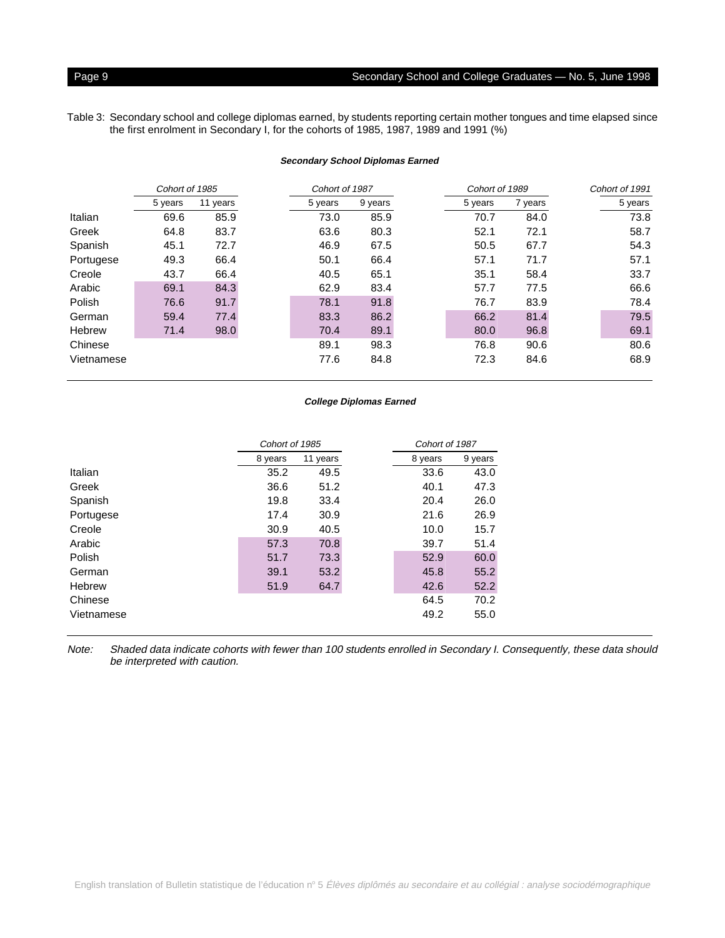<span id="page-8-0"></span>Table 3: Secondary school and college diplomas earned, by students reporting certain mother tongues and time elapsed since the first enrolment in Secondary I, for the cohorts of 1985, 1987, 1989 and 1991 (%)

#### **Secondary School Diplomas Earned**

|               | Cohort of 1985 |          | Cohort of 1987 |         | Cohort of 1989 |         | Cohort of 1991 |
|---------------|----------------|----------|----------------|---------|----------------|---------|----------------|
|               | 5 years        | 11 years | 5 years        | 9 years | 5 years        | 7 years | 5 years        |
| Italian       | 69.6           | 85.9     | 73.0           | 85.9    | 70.7           | 84.0    | 73.8           |
| Greek         | 64.8           | 83.7     | 63.6           | 80.3    | 52.1           | 72.1    | 58.7           |
| Spanish       | 45.1           | 72.7     | 46.9           | 67.5    | 50.5           | 67.7    | 54.3           |
| Portugese     | 49.3           | 66.4     | 50.1           | 66.4    | 57.1           | 71.7    | 57.1           |
| Creole        | 43.7           | 66.4     | 40.5           | 65.1    | 35.1           | 58.4    | 33.7           |
| Arabic        | 69.1           | 84.3     | 62.9           | 83.4    | 57.7           | 77.5    | 66.6           |
| Polish        | 76.6           | 91.7     | 78.1           | 91.8    | 76.7           | 83.9    | 78.4           |
| German        | 59.4           | 77.4     | 83.3           | 86.2    | 66.2           | 81.4    | 79.5           |
| <b>Hebrew</b> | 71.4           | 98.0     | 70.4           | 89.1    | 80.0           | 96.8    | 69.1           |
| Chinese       |                |          | 89.1           | 98.3    | 76.8           | 90.6    | 80.6           |
| Vietnamese    |                |          | 77.6           | 84.8    | 72.3           | 84.6    | 68.9           |

#### **College Diplomas Earned**

|               | Cohort of 1985 |          | Cohort of 1987 |         |
|---------------|----------------|----------|----------------|---------|
|               | 8 years        | 11 years | 8 years        | 9 years |
| Italian       | 35.2           | 49.5     | 33.6           | 43.0    |
| Greek         | 36.6           | 51.2     | 40.1           | 47.3    |
| Spanish       | 19.8           | 33.4     | 20.4           | 26.0    |
| Portugese     | 17.4           | 30.9     | 21.6           | 26.9    |
| Creole        | 30.9           | 40.5     | 10.0           | 15.7    |
| Arabic        | 57.3           | 70.8     | 39.7           | 51.4    |
| Polish        | 51.7           | 73.3     | 52.9           | 60.0    |
| German        | 39.1           | 53.2     | 45.8           | 55.2    |
| <b>Hebrew</b> | 51.9           | 64.7     | 42.6           | 52.2    |
| Chinese       |                |          | 64.5           | 70.2    |
| Vietnamese    |                |          | 49.2           | 55.0    |

Note: Shaded data indicate cohorts with fewer than 100 students enrolled in Secondary I. Consequently, these data should be interpreted with caution.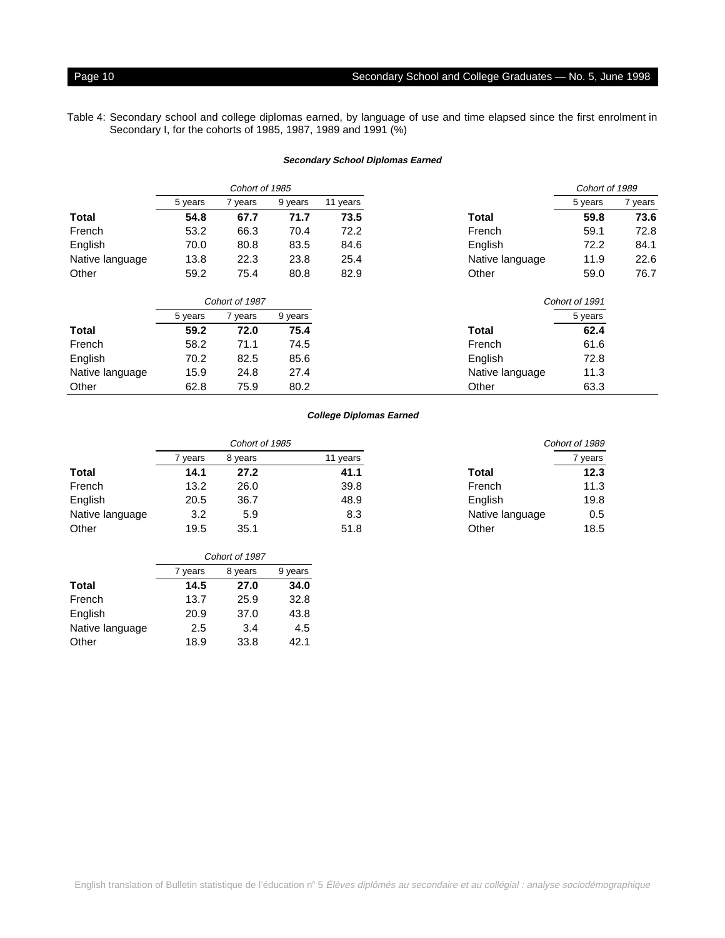#### <span id="page-9-0"></span>Page 10 **Secondary School and College Graduates — No. 5, June 1998**

Table 4: Secondary school and college diplomas earned, by language of use and time elapsed since the first enrolment in Secondary I, for the cohorts of 1985, 1987, 1989 and 1991 (%)

#### **Secondary School Diplomas Earned**

|                 |         | Cohort of 1985 |         |          |                 | Cohort of 1989 |         |
|-----------------|---------|----------------|---------|----------|-----------------|----------------|---------|
|                 | 5 years | 7 years        | 9 years | 11 years |                 | 5 years        | 7 years |
| <b>Total</b>    | 54.8    | 67.7           | 71.7    | 73.5     | <b>Total</b>    | 59.8           | 73.6    |
| French          | 53.2    | 66.3           | 70.4    | 72.2     | French          | 59.1           | 72.8    |
| English         | 70.0    | 80.8           | 83.5    | 84.6     | English         | 72.2           | 84.1    |
| Native language | 13.8    | 22.3           | 23.8    | 25.4     | Native language | 11.9           | 22.6    |
| Other           | 59.2    | 75.4           | 80.8    | 82.9     | Other           | 59.0           | 76.7    |
|                 |         | Cohort of 1987 |         |          |                 | Cohort of 1991 |         |
|                 | 5 years | 7 years        | 9 years |          |                 | 5 years        |         |
| <b>Total</b>    | 59.2    | 72.0           | 75.4    |          | <b>Total</b>    | 62.4           |         |
| French          | 58.2    | 71.1           | 74.5    |          | French          | 61.6           |         |
| English         | 70.2    | 82.5           | 85.6    |          | English         | 72.8           |         |
| Native language | 15.9    | 24.8           | 27.4    |          | Native language | 11.3           |         |
| Other           | 62.8    | 75.9           | 80.2    |          | Other           | 63.3           |         |

|                 |         | Cohort of 1985 |          |                 | Cohort of 1989 |
|-----------------|---------|----------------|----------|-----------------|----------------|
|                 | 7 vears | 8 years        | 11 years |                 | 'years         |
| Total           | 14.1    | 27.2           | 41.1     | Total           | 12.3           |
| French          | 13.2    | 26.0           | 39.8     | French          | 11.3           |
| English         | 20.5    | 36.7           | 48.9     | English         | 19.8           |
| Native language | 3.2     | 5.9            | 8.3      | Native language | 0.5            |
| Other           | 19.5    | 35.1           | 51.8     | Other           | 18.5           |

|                 | Cohort of 1987 |         |         |  |
|-----------------|----------------|---------|---------|--|
|                 | 7 years        | 8 years | 9 years |  |
| Total           | 14.5           | 27.0    | 34.0    |  |
| French          | 13.7           | 25.9    | 32.8    |  |
| English         | 20.9           | 37.0    | 43.8    |  |
| Native language | 2.5            | 3.4     | 4.5     |  |
| Other           | 18.9           | 33.8    | 42.1    |  |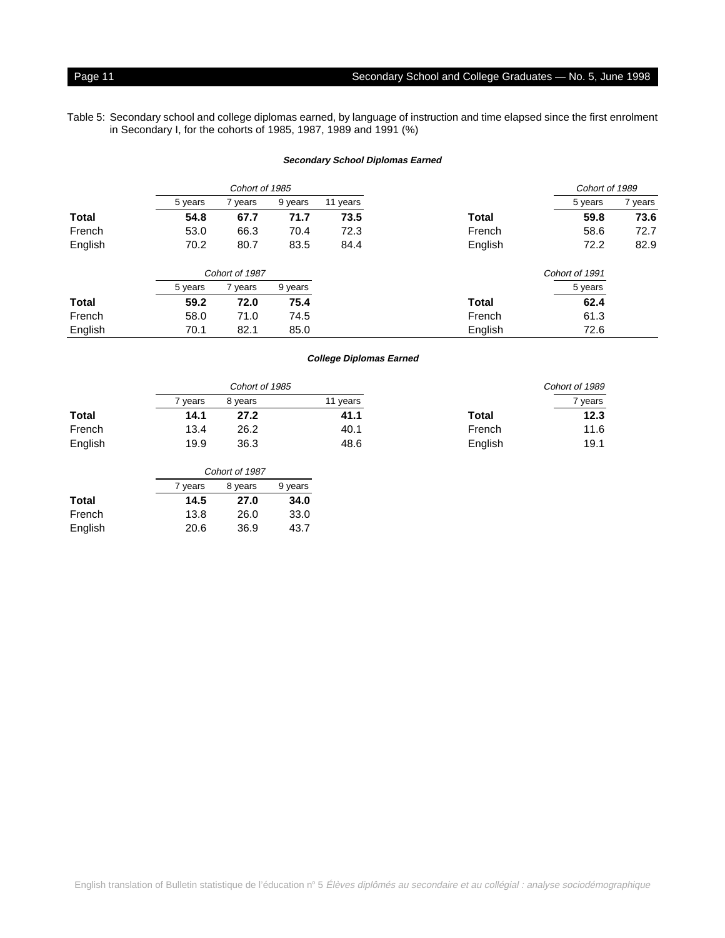## <span id="page-10-0"></span>Page 11 **Secondary School and College Graduates — No. 5, June 1998** Secondary School and College Graduates — No. 5, June 1998

Table 5: Secondary school and college diplomas earned, by language of instruction and time elapsed since the first enrolment in Secondary I, for the cohorts of 1985, 1987, 1989 and 1991 (%)

#### **Secondary School Diplomas Earned**

|              | Cohort of 1985 |                |         |          |              | Cohort of 1989 |         |
|--------------|----------------|----------------|---------|----------|--------------|----------------|---------|
|              | 5 years        | 7 years        | 9 years | 11 years |              | 5 years        | 7 years |
| <b>Total</b> | 54.8           | 67.7           | 71.7    | 73.5     | <b>Total</b> | 59.8           | 73.6    |
| French       | 53.0           | 66.3           | 70.4    | 72.3     | French       | 58.6           | 72.7    |
| English      | 70.2           | 80.7           | 83.5    | 84.4     | English      | 72.2           | 82.9    |
|              |                | Cohort of 1987 |         |          |              | Cohort of 1991 |         |
|              | 5 years        | 7 years        | 9 years |          |              | 5 years        |         |
| <b>Total</b> | 59.2           | 72.0           | 75.4    |          | <b>Total</b> | 62.4           |         |
| French       | 58.0           | 71.0           | 74.5    |          | French       | 61.3           |         |
| English      | 70.1           | 82.1           | 85.0    |          | English      | 72.6           |         |

|         |       | Cohort of 1985 |          |         | Cohort of 1989 |
|---------|-------|----------------|----------|---------|----------------|
|         | vears | 8 years        | 11 years |         | years          |
| Total   | 14.1  | 27.2           | 41.1     | Total   | 12.3           |
| French  | 13.4  | 26.2           | 40.1     | French  | 11.6           |
| English | 19.9  | 36.3           | 48.6     | English | 19.1           |

|         | Cohort of 1987 |         |         |  |  |
|---------|----------------|---------|---------|--|--|
|         | 7 years        | 8 years | 9 years |  |  |
| Total   | 14.5           | 27.0    | 34.0    |  |  |
| French  | 13.8           | 26.0    | 33.0    |  |  |
| English | 20.6           | 36.9    | 43.7    |  |  |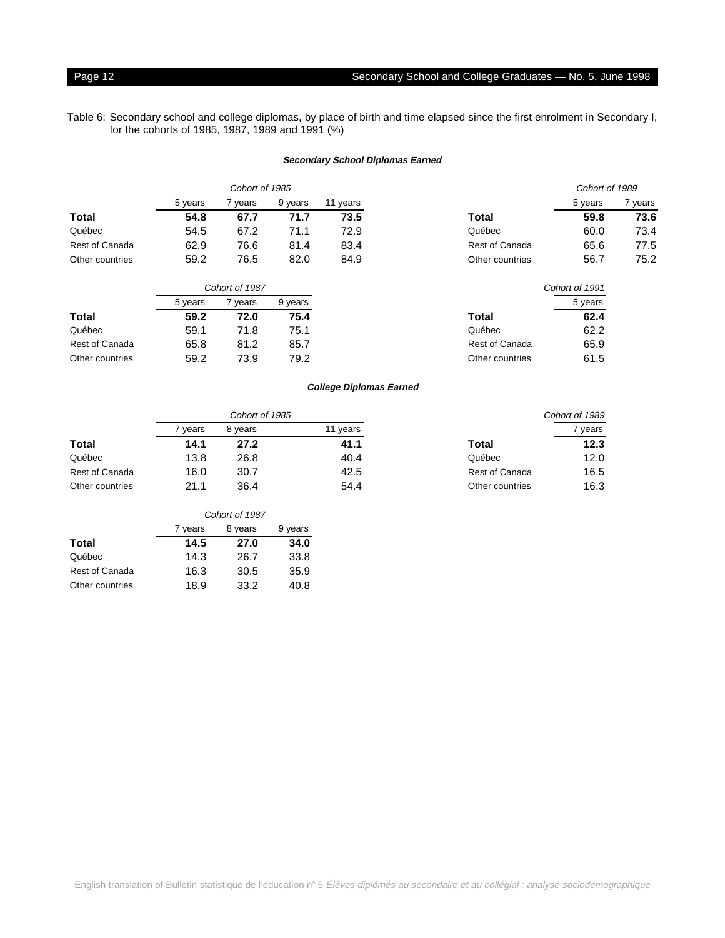#### <span id="page-11-0"></span>Page 12 **Secondary School and College Graduates — No. 5, June 1998**

Table 6: Secondary school and college diplomas, by place of birth and time elapsed since the first enrolment in Secondary I, for the cohorts of 1985, 1987, 1989 and 1991 (%)

#### **Secondary School Diplomas Earned**

|                 | Cohort of 1985 |       |         |          |                 | Cohort of 1989 |       |
|-----------------|----------------|-------|---------|----------|-----------------|----------------|-------|
|                 | 5 years        | vears | 9 years | 11 years |                 | 5 years        | years |
| <b>Total</b>    | 54.8           | 67.7  | 71.7    | 73.5     | Total           | 59.8           | 73.6  |
| Québec          | 54.5           | 67.2  | 71.1    | 72.9     | Québec          | 60.0           | 73.4  |
| Rest of Canada  | 62.9           | 76.6  | 81.4    | 83.4     | Rest of Canada  | 65.6           | 77.5  |
| Other countries | 59.2           | 76.5  | 82.0    | 84.9     | Other countries | 56.7           | 75.2  |

|                 | Cohort of 1987 |       |         |                 | Cohort of 1991 |
|-----------------|----------------|-------|---------|-----------------|----------------|
|                 | 5 years        | vears | 9 years |                 | 5 years        |
| <b>Total</b>    | 59.2           | 72.0  | 75.4    | Total           | 62.4           |
| Québec          | 59.1           | 71.8  | 75.1    | Québec          | 62.2           |
| Rest of Canada  | 65.8           | 81.2  | 85.7    | Rest of Canada  | 65.9           |
| Other countries | 59.2           | 73.9  | 79.2    | Other countries | 61.5           |

|                 |         | Cohort of 1985 |          |                 | Cohort of 1989 |
|-----------------|---------|----------------|----------|-----------------|----------------|
|                 | 7 vears | 8 vears        | 11 years |                 | years          |
| Total           | 14.1    | 27.2           | 41.1     | Total           | 12.3           |
| Québec          | 13.8    | 26.8           | 40.4     | Québec          | 12.0           |
| Rest of Canada  | 16.0    | 30.7           | 42.5     | Rest of Canada  | 16.5           |
| Other countries | 21.1    | 36.4           | 54.4     | Other countries | 16.3           |

|                       | Cohort of 1987 |         |         |  |
|-----------------------|----------------|---------|---------|--|
|                       | 7 years        | 8 years | 9 years |  |
| Total                 | 14.5           | 27.0    | 34.0    |  |
| Québec                | 14.3           | 26.7    | 33.8    |  |
| <b>Rest of Canada</b> | 16.3           | 30.5    | 35.9    |  |
| Other countries       | 18.9           | 33.2    | 40.8    |  |

| Conon or 1989. |
|----------------|
| 7 years        |
| 12.3           |
| 12.0           |
| 16.5           |
| 16.3           |
|                |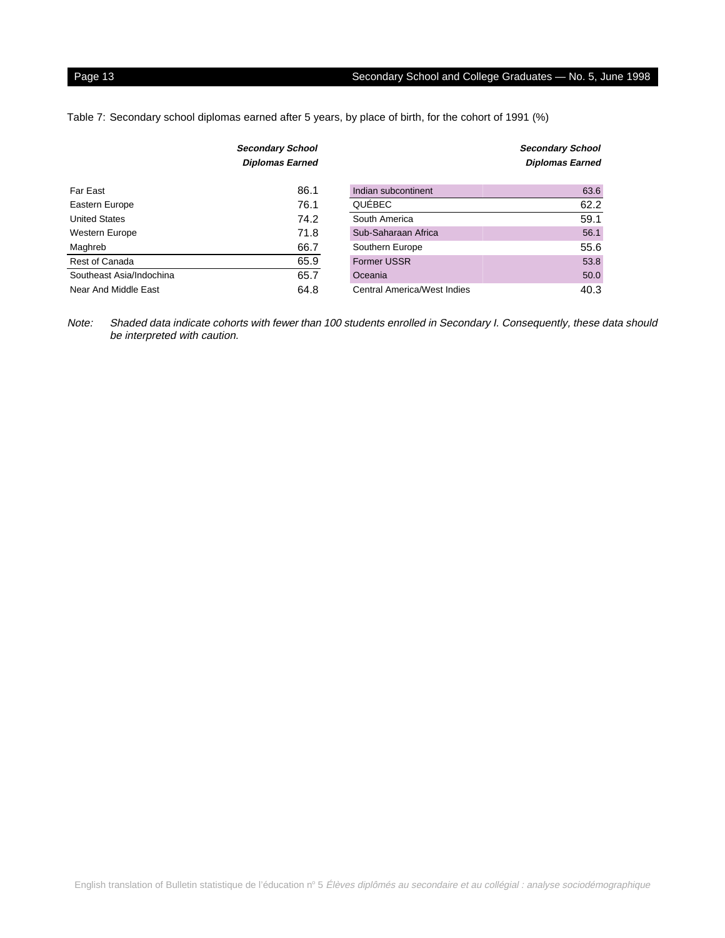## <span id="page-12-0"></span>Page 13 **Secondary School and College Graduates — No. 5, June 1998** Secondary School and College Graduates — No. 5, June 1998

|  | Table 7: Secondary school diplomas earned after 5 years, by place of birth, for the cohort of 1991 (%) |  |  |
|--|--------------------------------------------------------------------------------------------------------|--|--|
|  |                                                                                                        |  |  |

|                          | <b>Secondary School</b><br><b>Diplomas Earned</b> |                             | <b>Secondary School</b><br><b>Diplomas Earned</b> |
|--------------------------|---------------------------------------------------|-----------------------------|---------------------------------------------------|
| Far East                 | 86.1                                              | Indian subcontinent         | 63.6                                              |
| Eastern Europe           | 76.1                                              | QUÉBEC                      | 62.2                                              |
| <b>United States</b>     | 74.2                                              | South America               | 59.1                                              |
| <b>Western Europe</b>    | 71.8                                              | Sub-Saharaan Africa         | 56.1                                              |
| Maghreb                  | 66.7                                              | Southern Europe             | 55.6                                              |
| Rest of Canada           | 65.9                                              | <b>Former USSR</b>          | 53.8                                              |
| Southeast Asia/Indochina | 65.7                                              | Oceania                     | 50.0                                              |
| Near And Middle East     | 64.8                                              | Central America/West Indies | 40.3                                              |

Note: Shaded data indicate cohorts with fewer than 100 students enrolled in Secondary I. Consequently, these data should be interpreted with caution.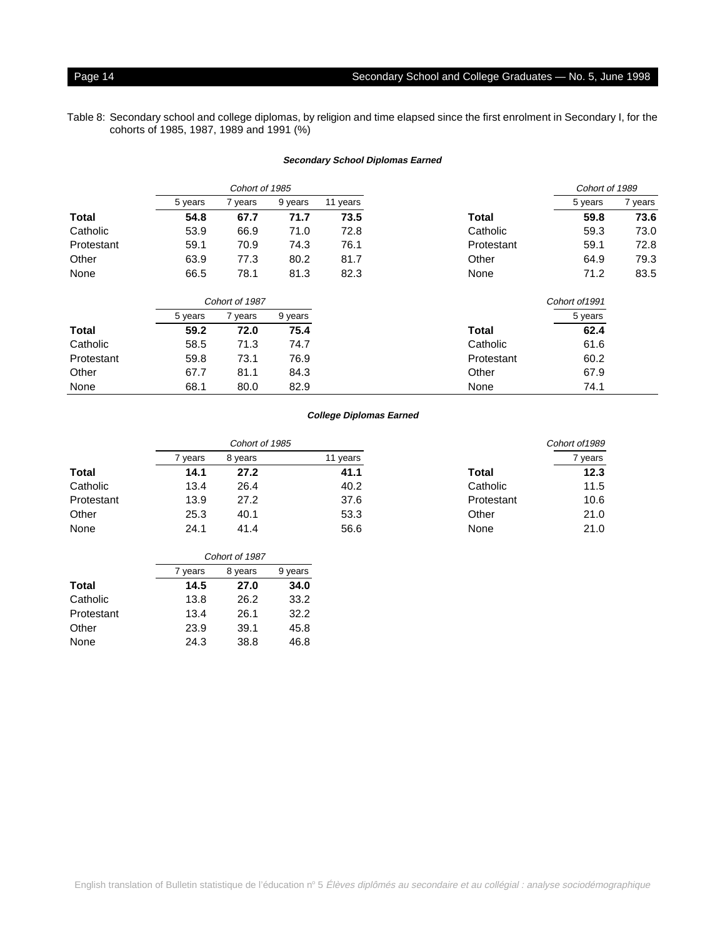#### <span id="page-13-0"></span>Page 14 **Secondary School and College Graduates — No. 5, June 1998**

Table 8: Secondary school and college diplomas, by religion and time elapsed since the first enrolment in Secondary I, for the cohorts of 1985, 1987, 1989 and 1991 (%)

#### **Secondary School Diplomas Earned**

|              | Cohort of 1985 |         |         |          |              | Cohort of 1989 |         |
|--------------|----------------|---------|---------|----------|--------------|----------------|---------|
|              | 5 years        | 7 years | 9 years | 11 years |              | 5 years        | 7 years |
| <b>Total</b> | 54.8           | 67.7    | 71.7    | 73.5     | <b>Total</b> | 59.8           | 73.6    |
| Catholic     | 53.9           | 66.9    | 71.0    | 72.8     | Catholic     | 59.3           | 73.0    |
| Protestant   | 59.1           | 70.9    | 74.3    | 76.1     | Protestant   | 59.1           | 72.8    |
| Other        | 63.9           | 77.3    | 80.2    | 81.7     | Other        | 64.9           | 79.3    |
| None         | 66.5           | 78.1    | 81.3    | 82.3     | None         | 71.2           | 83.5    |
|              | Cohort of 1987 |         |         |          |              | Cohort of 1991 |         |
|              | 5 years        | 7 years | 9 years |          |              | 5 years        |         |
| <b>Total</b> | 59.2           | 72.0    | 75.4    |          | <b>Total</b> | 62.4           |         |
| Catholic     | 58.5           | 71.3    | 74.7    |          | Catholic     | 61.6           |         |
| Protestant   | 59.8           | 73.1    | 76.9    |          | Protestant   | 60.2           |         |
| Other        | 67.7           | 81.1    | 84.3    |          | Other        | 67.9           |         |
| None         | 68.1           | 80.0    | 82.9    |          | None         | 74.1           |         |

|            | Cohort of 1985 |         |          | Cohort of 1989 |       |  |
|------------|----------------|---------|----------|----------------|-------|--|
|            | 7 years        | 8 years | 11 years |                | years |  |
| Total      | 14.1           | 27.2    | 41.1     | Total          | 12.3  |  |
| Catholic   | 13.4           | 26.4    | 40.2     | Catholic       | 11.5  |  |
| Protestant | 13.9           | 27.2    | 37.6     | Protestant     | 10.6  |  |
| Other      | 25.3           | 40.1    | 53.3     | Other          | 21.0  |  |
| None       | 24.1           | 41.4    | 56.6     | None           | 21.0  |  |

| Cohort of 1987 |         |         |  |
|----------------|---------|---------|--|
| 7 years        | 8 years | 9 years |  |
| 14.5           | 27.0    | 34.0    |  |
| 13.8           | 26.2    | 33.2    |  |
| 13.4           | 26.1    | 32.2    |  |
| 23.9           | 39.1    | 45.8    |  |
| 24.3           | 38.8    | 46.8    |  |
|                |         |         |  |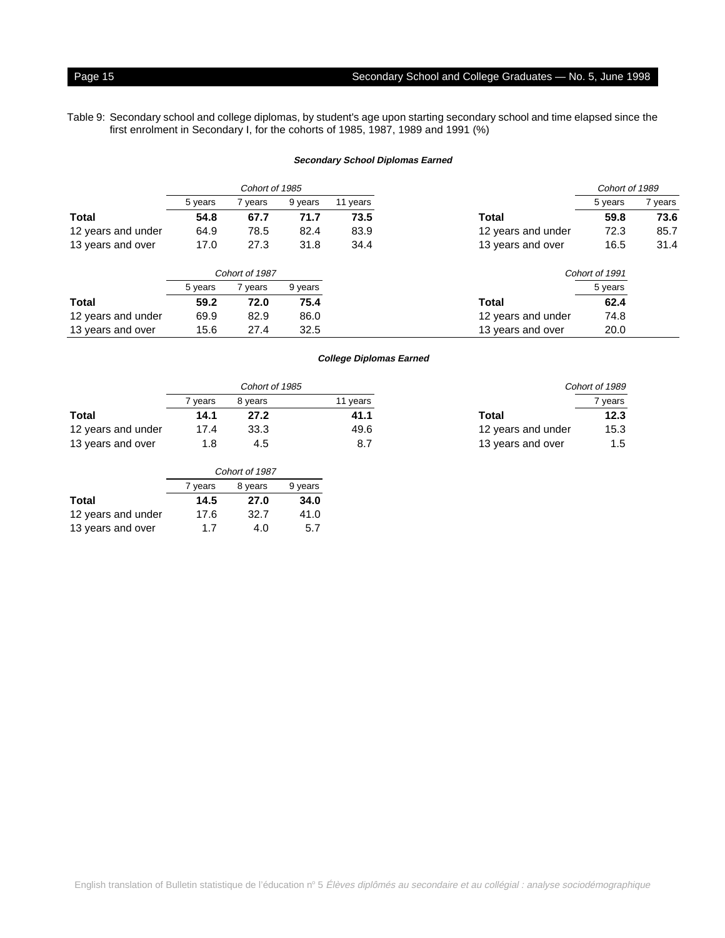#### Page 15 **Secondary School and College Graduates — No. 5, June 1998** Secondary School and College Graduates — No. 5, June 1998

Table 9: Secondary school and college diplomas, by student's age upon starting secondary school and time elapsed since the first enrolment in Secondary I, for the cohorts of 1985, 1987, 1989 and 1991 (%)

#### **Secondary School Diplomas Earned**

|                    |         | Cohort of 1985 |         |          |                    | Cohort of 1989 |         |
|--------------------|---------|----------------|---------|----------|--------------------|----------------|---------|
|                    | 5 years | 7 years        | 9 years | 11 years |                    | 5 years        | 7 years |
| <b>Total</b>       | 54.8    | 67.7           | 71.7    | 73.5     | Total              | 59.8           | 73.6    |
| 12 years and under | 64.9    | 78.5           | 82.4    | 83.9     | 12 years and under | 72.3           | 85.7    |
| 13 years and over  | 17.0    | 27.3           | 31.8    | 34.4     | 13 years and over  | 16.5           | 31.4    |
|                    |         | Cohort of 1987 |         |          |                    | Cohort of 1991 |         |
|                    | 5 years | 7 years        | 9 years |          |                    | 5 years        |         |
| <b>Total</b>       | 59.2    | 72.0           | 75.4    |          | <b>Total</b>       | 62.4           |         |
| 12 years and under | 69.9    | 82.9           | 86.0    |          | 12 years and under | 74.8           |         |
| 13 years and over  | 15.6    | 27.4           | 32.5    |          | 13 years and over  | 20.0           |         |

|                    | Cohort of 1985 |         |           | Cohort of 1989     |         |
|--------------------|----------------|---------|-----------|--------------------|---------|
|                    | vears          | 8 vears | l 1 years |                    | 7 years |
| Total              | 14.1           | 27.2    | 41.1      | Total              | 12.3    |
| 12 years and under | 17.4           | 33.3    | 49.6      | 12 years and under | 15.3    |
| 13 years and over  | 1.8            | 4.5     | 8.7       | 13 years and over  | 1.5     |

|                    |         | Cohort of 1987 |         |
|--------------------|---------|----------------|---------|
|                    | 7 years | 8 years        | 9 years |
| Total              | 14.5    | 27.0           | 34.0    |
| 12 years and under | 17.6    | 32.7           | 41.0    |
| 13 years and over  | 1.7     | 4.0            | 5.7     |